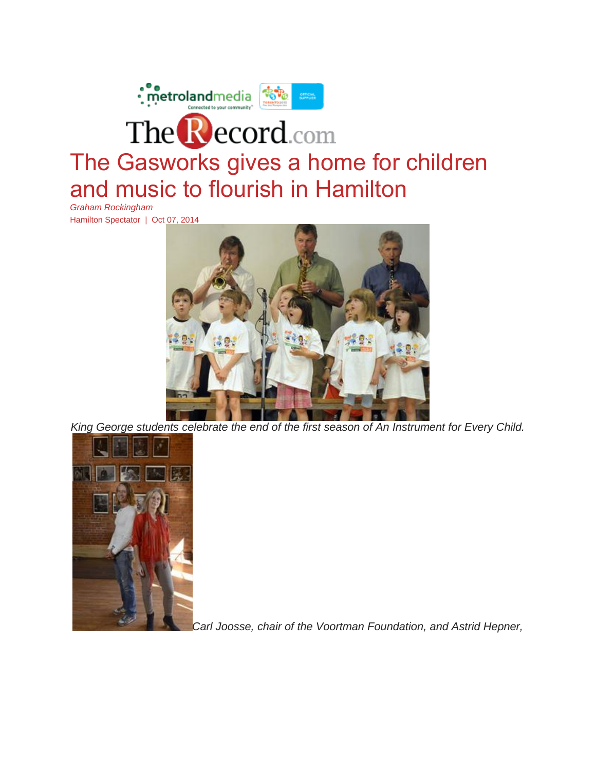

Hamilton Spectator | Oct 07, 2014



*King George students celebrate the end of the first season of An Instrument for Every Child.*



*Carl Joosse, chair of the Voortman Foundation, and Astrid Hepner,*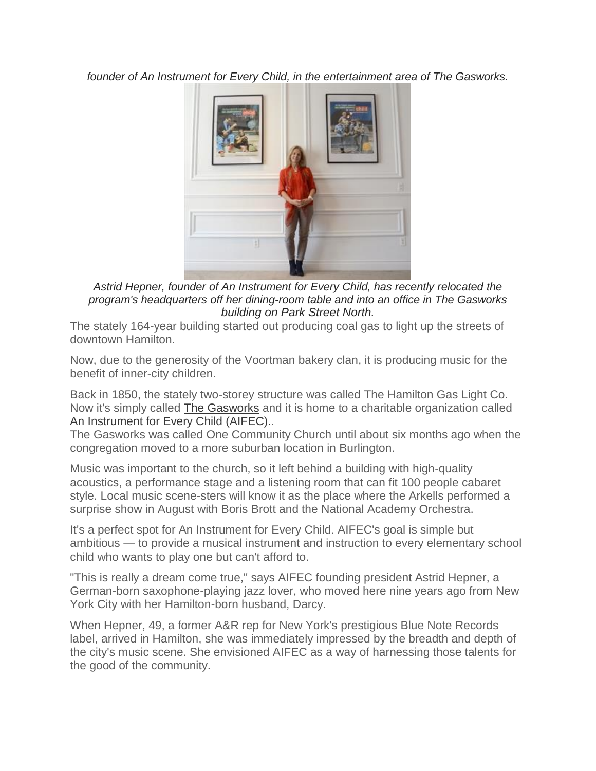*founder of An Instrument for Every Child, in the entertainment area of The Gasworks.*



*Astrid Hepner, founder of An Instrument for Every Child, has recently relocated the program's headquarters off her dining-room table and into an office in The Gasworks building on Park Street North.*

The stately 164-year building started out producing coal gas to light up the streets of downtown Hamilton.

Now, due to the generosity of the Voortman bakery clan, it is producing music for the benefit of inner-city children.

Back in 1850, the stately two-storey structure was called The Hamilton Gas Light Co. Now it's simply called The [Gasworks](http://parkstgasworks.com/) and it is home to a charitable organization called An [Instrument](https://aninstrumentforeverychild.ca/) for Every Child (AIFEC)..

The Gasworks was called One Community Church until about six months ago when the congregation moved to a more suburban location in Burlington.

Music was important to the church, so it left behind a building with high-quality acoustics, a performance stage and a listening room that can fit 100 people cabaret style. Local music scene-sters will know it as the place where the Arkells performed a surprise show in August with Boris Brott and the National Academy Orchestra.

It's a perfect spot for An Instrument for Every Child. AIFEC's goal is simple but ambitious — to provide a musical instrument and instruction to every elementary school child who wants to play one but can't afford to.

"This is really a dream come true," says AIFEC founding president Astrid Hepner, a German-born saxophone-playing jazz lover, who moved here nine years ago from New York City with her Hamilton-born husband, Darcy.

When Hepner, 49, a former A&R rep for New York's prestigious Blue Note Records label, arrived in Hamilton, she was immediately impressed by the breadth and depth of the city's music scene. She envisioned AIFEC as a way of harnessing those talents for the good of the community.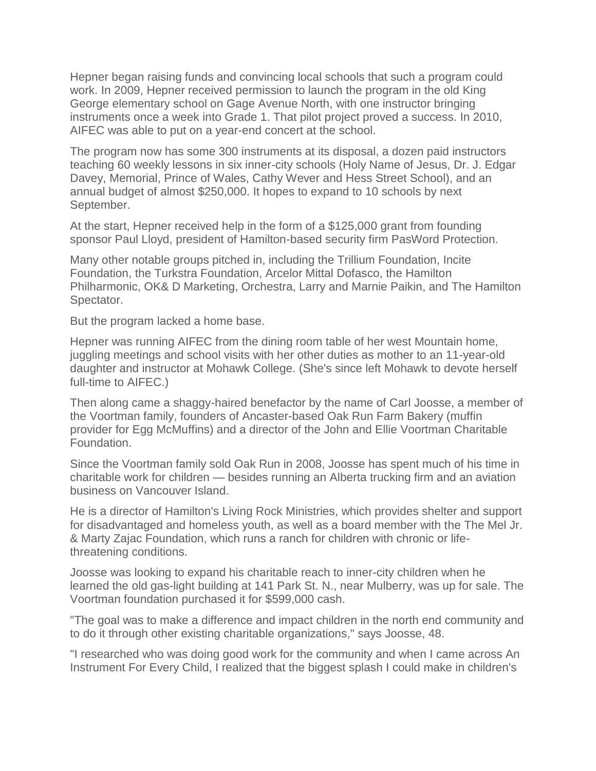Hepner began raising funds and convincing local schools that such a program could work. In 2009, Hepner received permission to launch the program in the old King George elementary school on Gage Avenue North, with one instructor bringing instruments once a week into Grade 1. That pilot project proved a success. In 2010, AIFEC was able to put on a year-end concert at the school.

The program now has some 300 instruments at its disposal, a dozen paid instructors teaching 60 weekly lessons in six inner-city schools (Holy Name of Jesus, Dr. J. Edgar Davey, Memorial, Prince of Wales, Cathy Wever and Hess Street School), and an annual budget of almost \$250,000. It hopes to expand to 10 schools by next September.

At the start, Hepner received help in the form of a \$125,000 grant from founding sponsor Paul Lloyd, president of Hamilton-based security firm PasWord Protection.

Many other notable groups pitched in, including the Trillium Foundation, Incite Foundation, the Turkstra Foundation, Arcelor Mittal Dofasco, the Hamilton Philharmonic, OK& D Marketing, Orchestra, Larry and Marnie Paikin, and The Hamilton Spectator.

But the program lacked a home base.

Hepner was running AIFEC from the dining room table of her west Mountain home, juggling meetings and school visits with her other duties as mother to an 11-year-old daughter and instructor at Mohawk College. (She's since left Mohawk to devote herself full-time to AIFEC.)

Then along came a shaggy-haired benefactor by the name of Carl Joosse, a member of the Voortman family, founders of Ancaster-based Oak Run Farm Bakery (muffin provider for Egg McMuffins) and a director of the John and Ellie Voortman Charitable Foundation.

Since the Voortman family sold Oak Run in 2008, Joosse has spent much of his time in charitable work for children — besides running an Alberta trucking firm and an aviation business on Vancouver Island.

He is a director of Hamilton's Living Rock Ministries, which provides shelter and support for disadvantaged and homeless youth, as well as a board member with the The Mel Jr. & Marty Zajac Foundation, which runs a ranch for children with chronic or lifethreatening conditions.

Joosse was looking to expand his charitable reach to inner-city children when he learned the old gas-light building at 141 Park St. N., near Mulberry, was up for sale. The Voortman foundation purchased it for \$599,000 cash.

"The goal was to make a difference and impact children in the north end community and to do it through other existing charitable organizations," says Joosse, 48.

"I researched who was doing good work for the community and when I came across An Instrument For Every Child, I realized that the biggest splash I could make in children's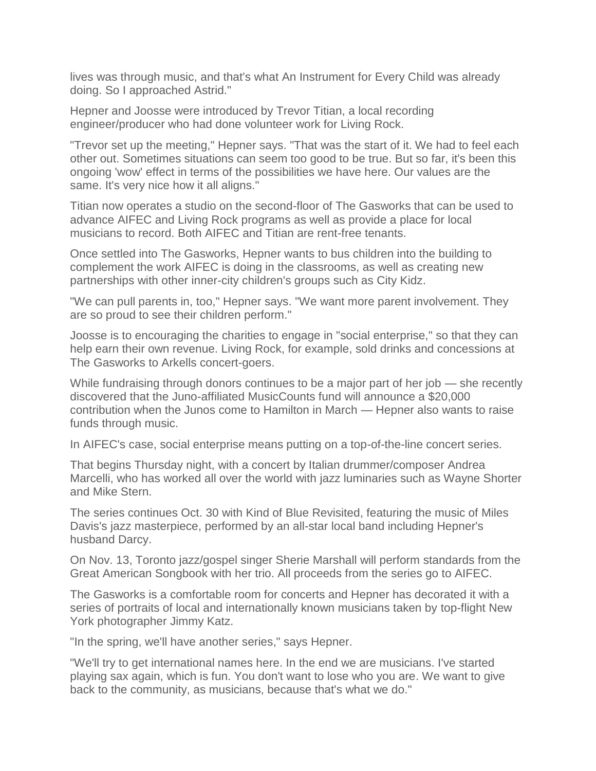lives was through music, and that's what An Instrument for Every Child was already doing. So I approached Astrid."

Hepner and Joosse were introduced by Trevor Titian, a local recording engineer/producer who had done volunteer work for Living Rock.

"Trevor set up the meeting," Hepner says. "That was the start of it. We had to feel each other out. Sometimes situations can seem too good to be true. But so far, it's been this ongoing 'wow' effect in terms of the possibilities we have here. Our values are the same. It's very nice how it all aligns."

Titian now operates a studio on the second-floor of The Gasworks that can be used to advance AIFEC and Living Rock programs as well as provide a place for local musicians to record. Both AIFEC and Titian are rent-free tenants.

Once settled into The Gasworks, Hepner wants to bus children into the building to complement the work AIFEC is doing in the classrooms, as well as creating new partnerships with other inner-city children's groups such as City Kidz.

"We can pull parents in, too," Hepner says. "We want more parent involvement. They are so proud to see their children perform."

Joosse is to encouraging the charities to engage in "social enterprise," so that they can help earn their own revenue. Living Rock, for example, sold drinks and concessions at The Gasworks to Arkells concert-goers.

While fundraising through donors continues to be a major part of her job — she recently discovered that the Juno-affiliated MusicCounts fund will announce a \$20,000 contribution when the Junos come to Hamilton in March — Hepner also wants to raise funds through music.

In AIFEC's case, social enterprise means putting on a top-of-the-line concert series.

That begins Thursday night, with a concert by Italian drummer/composer Andrea Marcelli, who has worked all over the world with jazz luminaries such as Wayne Shorter and Mike Stern.

The series continues Oct. 30 with Kind of Blue Revisited, featuring the music of Miles Davis's jazz masterpiece, performed by an all-star local band including Hepner's husband Darcy.

On Nov. 13, Toronto jazz/gospel singer Sherie Marshall will perform standards from the Great American Songbook with her trio. All proceeds from the series go to AIFEC.

The Gasworks is a comfortable room for concerts and Hepner has decorated it with a series of portraits of local and internationally known musicians taken by top-flight New York photographer Jimmy Katz.

"In the spring, we'll have another series," says Hepner.

"We'll try to get international names here. In the end we are musicians. I've started playing sax again, which is fun. You don't want to lose who you are. We want to give back to the community, as musicians, because that's what we do."